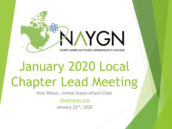

# January 2020 Local Chapter Lead Meeting

Nick Wilson, United States Affairs Chair

[USA@naygn.org](mailto:USA@naygn.org)

January 22nd, 2020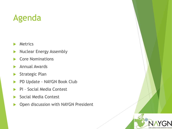#### Agenda

- **Metrics**
- Nuclear Energy Assembly
- Core Nominations
- Annual Awards
- Strategic Plan
- PD Update NAYGN Book Club
- PI Social Media Contest
- Social Media Contest
- ▶ Open discussion with NAYGN President

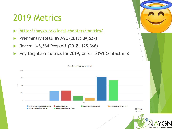#### 2019 Metrics

- <https://naygn.org/local-chapters/metrics/>
- Preliminary total: 89,992 (2018: 89,627)
- Reach: 146,564 People!! (2018: 125,366)
- Any forgotten metrics for 2019, enter NOW! Contact me!



NORTH AMERICAN YOU

2019 Live Metrics Total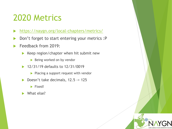#### 2020 Metrics

- <https://naygn.org/local-chapters/metrics/>
- Don't forget to start entering your metrics :P
- Feedback from 2019:
	- $\blacktriangleright$  Keep region/chapter when hit submit new
		- Being worked on by vendor
	- 12/31/19 defaults to 12/31/0019
		- $\blacktriangleright$  Placing a support request with vendor
	- Doesn't take decimals, 12.5 -> 125

 $\blacktriangleright$  Fixed!

What else?

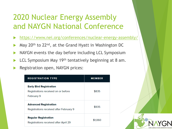#### 2020 Nuclear Energy Assembly and NAYGN National Conference

- <https://www.nei.org/conferences/nuclear-energy-assembly/>
- May 20th to 22nd, at the Grand Hyatt in Washington DC
- NAYGN events the day before including LCL Symposium
- LCL Symposium May 19<sup>th</sup> tentatively beginning at 8 am.
- Registration open, NAYGN prices:

| <b>REGISTRATION TYPE</b>                                                            | <b>MEMBER</b> |
|-------------------------------------------------------------------------------------|---------------|
| <b>Early Bird Registration</b><br>Registrations received on or before<br>February 9 | \$835         |
| <b>Advanced Registration</b><br>Registrations received after February 9             | \$935         |
| <b>Regular Registration</b><br><b>Registrations received after April 29</b>         | \$1,060       |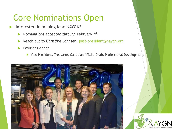## Core Nominations Open

- Interested in helping lead NAYGN?
	- Nominations accepted through February 7th
	- Reach out to Christine Johnsen, [past-president@naygn.org](mailto:past-president@naygn.org)
	- **Positions open:** 
		- ▶ Vice President, Treasurer, Canadian Affairs Chair, Professional Development

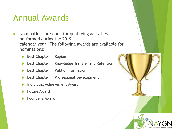#### Annual Awards

- $\blacktriangleright$  Nominations are open for qualifying activities performed during the 2019 calendar year. The following awards are available for nominations:
	- Best Chapter in Region
	- Best Chapter in Knowledge Transfer and Retention
	- Best Chapter in Public Information
	- Best Chapter in Professional Development
	- Individual Achievement Award
	- Future Award
	- Founder's Award

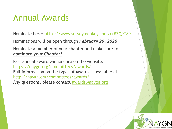#### Annual Awards

Nominate here: <https://www.surveymonkey.com/r/BZQ9T89>

Nominations will be open through *February 29, 2020*.

Nominate a member of your chapter and make sure to *nominate your Chapter!*

Past annual award winners are on the website: [https://naygn.org/committees/awards/](https://urldefense.com/v3/__https:/naygn.org/committees/awards/__;!!KQQRbYJqkXCDY_8FAQ!U8F28wzfdBzgBlu4hypJ7G0lEABxHO5_vzqsOFJAxPY5-QUPQZn-0iKZtMstDlfqigTAN6pKwhIT$) Full information on the types of Awards is available at [http://naygn.org/committees/awards/](https://urldefense.com/v3/__http:/naygn.org/committees/awards/__;!!KQQRbYJqkXCDY_8FAQ!U8F28wzfdBzgBlu4hypJ7G0lEABxHO5_vzqsOFJAxPY5-QUPQZn-0iKZtMstDlfqigTANz6N3zbL$). Any questions, please contact [awards@naygn.org](mailto:awards@naygn.org)

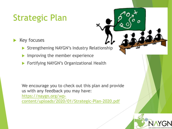# Strategic Plan

#### Key focuses

- Strengthening NAYGN's Industry Relationship
- Improving the member experience
- Fortifying NAYGN's Organizational Health

We encourage you to check out this plan and provide us with any feedback you may have:

https://naygn.org/wp-

[content/uploads/2020/01/Strategic-Plan-2020.pdf](https://urldefense.com/v3/__https:/naygn.org/wp-content/uploads/2020/01/Strategic-Plan-2020.pdf__;!!KQQRbYJqkXCDY_8FAQ!U8F28wzfdBzgBlu4hypJ7G0lEABxHO5_vzqsOFJAxPY5-QUPQZn-0iKZtMstDlfqigTAN2eDNEUV$)

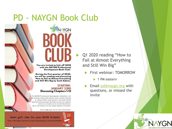#### PD - NAYGN Book Club





You are invited to kick off 2020 with the NAYGN Professional **Development Book Club!** 

During the first quarter of 2020, we will be reading and discussing How to Fail at Almost Everything and Still Win Big by Scott Adams.

#### **STARTING JANUARY 23RD Discussing Chapters 1-13**

The NAYGN Professional Development committee will be hosting a book club webinar once a month starting in January 2020. Each quarter a new book will be selected and discussed. We hope you join our webinar series as a chapter or on an individual basis. Be on the lookout for your Webex Webinar invitation!

Email pd@naygn.org for more information.



 Q1 2020 reading "How to Fail at Almost Everything and Still Win Big"

- First webinar: TOMORROW
	- $\blacktriangleright$  1 PM eastern
- **Email [pd@naygn.org](mailto:pd@naygn.org) with** questions, or missed the invite



Great gift idea for your NAYGN friends!

https://www.amazon.com/How-Fail-Almost-Everything-Still-ebook/dp/B00C00FBA4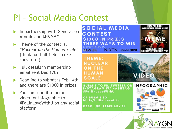## PI – Social Media Contest

- In partnership with Generation Atomic and ANS YMG
- Theme of the contest is, "*Nuclear on the Human Scale*" (think football fields, coke cans, etc.)
- Full details in membership email sent Dec 17th
- Deadline to submit is Feb 14th and there are \$1000 in prizes
- You can submit a meme, video, or infographic to #FallInLoveWithU on any social platform

**SOCIAL MEDIA** ANTI-NUCLEAR POWER MEI **CONTEST S1000 IN PRIZES HREE WAYS TO WIN NAYGN** 70U ARE GETTING **@ANS YMG GENERATION SECTIONIC** SCIENCE TEXTROOK TH THEME: **NUCLEAR ON THE** 

**SUBMIT TO FB, TWITTER OR** INSTAGRAM W/ HASHTAG #FallInLoveWithU

OR SUBMIT TO bit.ly/fallInlovewithu

**HUMAN** 

**SCALE** 

**DEADLINE: FEBRUARY 14** 

#### **INFOGRAPHIC**

VIDEO



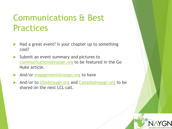## Communications & Best **Practices**

- ▶ Had a great event? Is your chapter up to something cool?
- Submit an event summary and pictures to [communications@naygn.org](mailto:communications@naygn.org) to be featured in the Go Nuke article.
- And/or [engagement@naygn.org](mailto:engagement@naygn.org) to have
- And/or to [USA@naygn.org](mailto:USA@naygn.org) and [Canada@naygn.org](mailto:Canada@naygn.org) to be shared on the next LCL call.